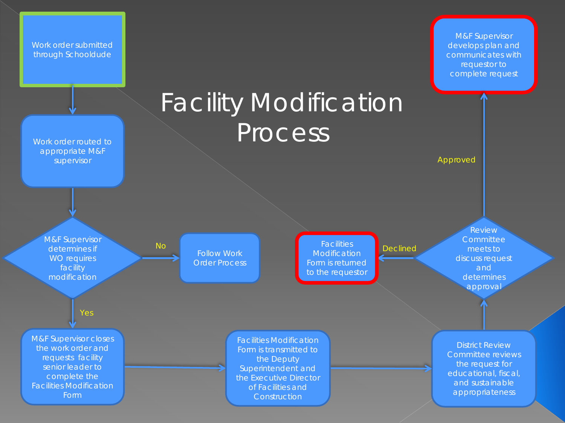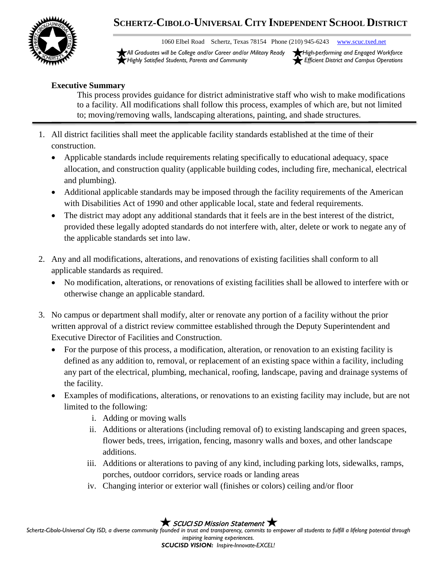

## **SCHERTZ-CIBOLO-UNIVERSAL CITY INDEPENDENT SCHOOL DISTRICT**

1060 Elbel Road Schertz, Texas 78154 Phone (210) 945-6243 [www.scuc.txed.net](http://www.scuc.txed.net/)

*All Graduates will be College and/or Career and/or Military Ready High-performing and Engaged Workforce Highly Satisfied Students, Parents and Community Efficient District and Campus Operations*

## **Executive Summary**

This process provides guidance for district administrative staff who wish to make modifications to a facility. All modifications shall follow this process, examples of which are, but not limited to; moving/removing walls, landscaping alterations, painting, and shade structures.

- 1. All district facilities shall meet the applicable facility standards established at the time of their construction.
	- Applicable standards include requirements relating specifically to educational adequacy, space allocation, and construction quality (applicable building codes, including fire, mechanical, electrical and plumbing).
	- Additional applicable standards may be imposed through the facility requirements of the American with Disabilities Act of 1990 and other applicable local, state and federal requirements.
	- The district may adopt any additional standards that it feels are in the best interest of the district, provided these legally adopted standards do not interfere with, alter, delete or work to negate any of the applicable standards set into law.
- 2. Any and all modifications, alterations, and renovations of existing facilities shall conform to all applicable standards as required.
	- No modification, alterations, or renovations of existing facilities shall be allowed to interfere with or otherwise change an applicable standard.
- 3. No campus or department shall modify, alter or renovate any portion of a facility without the prior written approval of a district review committee established through the Deputy Superintendent and Executive Director of Facilities and Construction.
	- For the purpose of this process, a modification, alteration, or renovation to an existing facility is defined as any addition to, removal, or replacement of an existing space within a facility, including any part of the electrical, plumbing, mechanical, roofing, landscape, paving and drainage systems of the facility.
	- Examples of modifications, alterations, or renovations to an existing facility may include, but are not limited to the following:
		- i. Adding or moving walls
		- ii. Additions or alterations (including removal of) to existing landscaping and green spaces, flower beds, trees, irrigation, fencing, masonry walls and boxes, and other landscape additions.
		- iii. Additions or alterations to paving of any kind, including parking lots, sidewalks, ramps, porches, outdoor corridors, service roads or landing areas
		- iv. Changing interior or exterior wall (finishes or colors) ceiling and/or floor

## $\bigstar$  SCUCISD Mission Statement  $\bigstar$

Schertz-Cibolo-Universal City ISD, a diverse community founded in trust and transparency, commits to empower all students to fulfill a lifelong potential through *inspiring learning experiences. SCUCISD VISION: Inspire-Innovate-EXCEL!*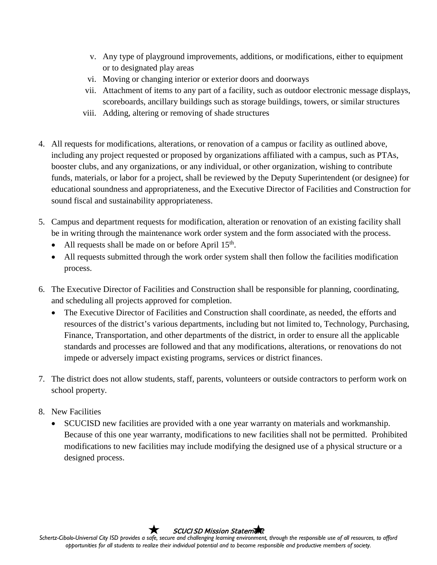- v. Any type of playground improvements, additions, or modifications, either to equipment or to designated play areas
- vi. Moving or changing interior or exterior doors and doorways
- vii. Attachment of items to any part of a facility, such as outdoor electronic message displays, scoreboards, ancillary buildings such as storage buildings, towers, or similar structures
- viii. Adding, altering or removing of shade structures
- 4. All requests for modifications, alterations, or renovation of a campus or facility as outlined above, including any project requested or proposed by organizations affiliated with a campus, such as PTAs, booster clubs, and any organizations, or any individual, or other organization, wishing to contribute funds, materials, or labor for a project, shall be reviewed by the Deputy Superintendent (or designee) for educational soundness and appropriateness, and the Executive Director of Facilities and Construction for sound fiscal and sustainability appropriateness.
- 5. Campus and department requests for modification, alteration or renovation of an existing facility shall be in writing through the maintenance work order system and the form associated with the process.
	- All requests shall be made on or before April  $15<sup>th</sup>$ .
	- All requests submitted through the work order system shall then follow the facilities modification process.
- 6. The Executive Director of Facilities and Construction shall be responsible for planning, coordinating, and scheduling all projects approved for completion.
	- The Executive Director of Facilities and Construction shall coordinate, as needed, the efforts and resources of the district's various departments, including but not limited to, Technology, Purchasing, Finance, Transportation, and other departments of the district, in order to ensure all the applicable standards and processes are followed and that any modifications, alterations, or renovations do not impede or adversely impact existing programs, services or district finances.
- 7. The district does not allow students, staff, parents, volunteers or outside contractors to perform work on school property.
- 8. New Facilities
	- SCUCISD new facilities are provided with a one year warranty on materials and workmanship. Because of this one year warranty, modifications to new facilities shall not be permitted. Prohibited modifications to new facilities may include modifying the designed use of a physical structure or a designed process.

**SCUCISD Mission Statement**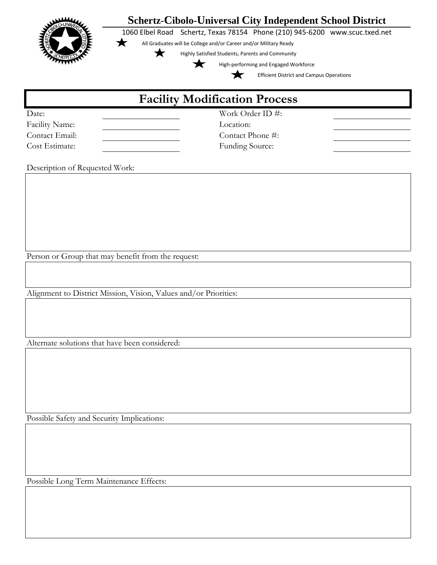

Possible Long Term Maintenance Effects: